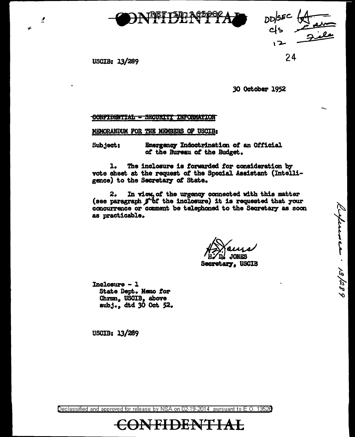



Cerference . 13/289

USCIB: 13/289

2

24

30 October 1952

## CONFIDENTIAL - SECURITI INFORMATION

MEMORANDUM FOR THE MEMBERS OF USCIB:

Emergency Indoctrination of an Official Subject: of the Bureau of the Budget.

The inclosure is forwarded for consideration by ı. vote sheet at the request of the Special Assistant (Intelligence) to the Secretary of State.

 $2.5$ In view, of the urgency connected with this matter (see paragraph  $j^*$  of the inclosure) it is requested that your concurrence or comment be telephoned to the Secretary as soon as practicable.

**JONES** 

**Secretary, USCIB** 

 $Incloauxe - 1$ State Dept. Memo for Chrmn, USCIB, above subj., dtd 30 Oct 52.

**USCIB: 13/289** 

Declassified and approved for release by NSA on 02-19-2014 pursuant to E.O. 13528

## **CONFIDENTIAL**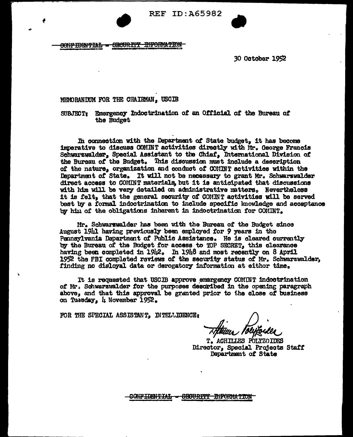

CONFIDENTIAL - SECURITY DIFORMATION

€

**30 October 1952** 

MEMORANIXIM FOR THE CHAIRMAN. USCIB

SUBJECT: Emergency Indoctrination of an Official of the Bureau of the Budget

In connection with the Department of State budget, it has become imperative to discuss COMINT activities directly with Mr. George Francis Schwarzwalder, Special Assistant to the Chief, International Division of the Bureau of the Budget. This discussion must include a description of the nature, organization and conduct of COMINT activities within the Department of State. It will not be necessary to grant Mr. Schwarzwalder direct access to COMINT materials, but it is anticipated that discussions with him will be very detailed on administrative matters. Nevertheless it is felt, that the general security of COMINT activities will be served best by a formal indoctrination to include specific knowledge and acceptance by him of the obligations inherent in indoctrination for COMINT.

Mr. Schwarzwalder has been with the Bureau of the Budget since August 1941 having previously been employed for 9 years in the Pennsylvania Department of Public Assistance. He is cleared currently by the Bureau of the Budget for access to TOP SECRET, this clearance having been completed in 19h2. In 19h8 and most recently on 8 April 1952 the FBI completed reviews of the security status of Mr. Schwarzwalder. finding no disloyal data or derogatory information at eithor time.

It is requested that USCIB approve emergency COMINT indoctrination of Mr. Schwarzwalder for the purposes described in the opening paragraph above, and that this approval be granted prior to the close of business on Tussday, 4 November 1952.

FOR THE SPECIAL ASSISTANT, INTELLIBENCE:

ACHILLES POLYZOIDES Director, Special Projects Staff Department of State

CONFIDENTIAL - SEOURITT INFORMATION